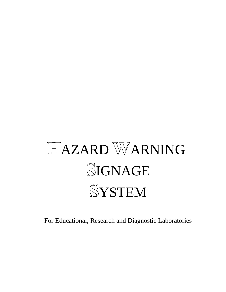# **HAZARD WARNING SIGNAGE SYSTEM**

For Educational, Research and Diagnostic Laboratories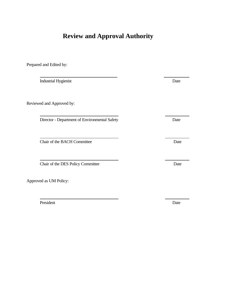# **Review and Approval Authority**

Prepared and Edited by:

 $\overline{a}$ 

 $\overline{a}$ 

 $\overline{a}$ 

 $\overline{a}$ 

 $\overline{a}$ 

Industrial Hygienist Date

Reviewed and Approved by:

Director - Department of Environmental Safety Date

Chair of the BACH Committee Date

Chair of the DES Policy Committee Date

Approved as UM Policy:

President Date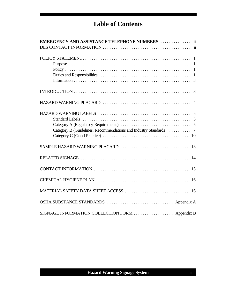# **Table of Contents**

| EMERGENCY AND ASSISTANCE TELEPHONE NUMBERS  ii  |
|-------------------------------------------------|
|                                                 |
|                                                 |
|                                                 |
|                                                 |
|                                                 |
|                                                 |
|                                                 |
|                                                 |
|                                                 |
|                                                 |
|                                                 |
| SIGNAGE INFORMATION COLLECTION FORM  Appendix B |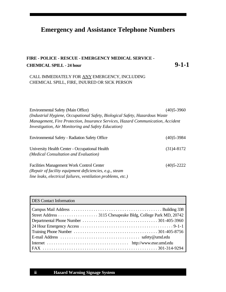## **Emergency and Assistance Telephone Numbers**

## **FIRE - POLICE - RESCUE - EMERGENCY MEDICAL SERVICE - CHEMICAL SPILL - 24 hour 9-1-1**

#### CALL IMMEDIATELY FOR ANY EMERGENCY, INCLUDING CHEMICAL SPILL, FIRE, INJURED OR SICK PERSON

| <b>Environmental Safety (Main Office)</b>                                               | $(40)5 - 3960$ |
|-----------------------------------------------------------------------------------------|----------------|
| (Industrial Hygiene, Occupational Safety, Biological Safety, Hazardous Waste            |                |
| Management, Fire Protection, Insurance Services, Hazard Communication, Accident         |                |
| <i>Investigation, Air Monitoring and Safety Education</i> )                             |                |
| <b>Environmental Safety - Radiation Safety Office</b>                                   | $(40)5 - 3984$ |
| University Health Center - Occupational Health<br>(Medical Consultation and Evaluation) | $(31)4 - 8172$ |

Facilities Management Work Control Center (40)5-2222 *(Repair of facility equipment deficiencies, e.g., steam line leaks, electrical failures, ventilation problems, etc.)*

| <b>DES</b> Contact Information                                                                                     |
|--------------------------------------------------------------------------------------------------------------------|
|                                                                                                                    |
|                                                                                                                    |
|                                                                                                                    |
|                                                                                                                    |
|                                                                                                                    |
| Training Phone Number $\dots \dots \dots \dots \dots \dots \dots \dots \dots \dots \dots \dots \dots 301-405-8756$ |
|                                                                                                                    |
|                                                                                                                    |
|                                                                                                                    |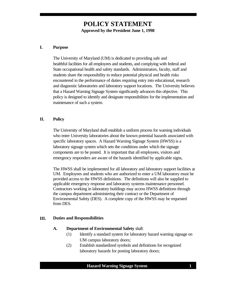## **POLICY STATEMENT Approved by the President June 1, 1998**

#### **I. Purpose**

The University of Maryland (UM) is dedicated to providing safe and healthful facilities for all employees and students, and complying with federal and State occupational health and safety standards. Administrators, faculty, staff and students share the responsibility to reduce potential physical and health risks encountered in the performance of duties requiring entry into educational, research and diagnostic laboratories and laboratory support locations. The University believes that a Hazard Warning Signage System significantly advances this objective. This policy is designed to identify and designate responsibilities for the implementation and maintenance of such a system.

#### **II. Policy**

The University of Maryland shall establish a uniform process for warning individuals who enter University laboratories about the known potential hazards associated with specific laboratory spaces. A Hazard Warning Signage System (HWSS) is a laboratory signage system which sets the conditions under which the signage components are to be posted. It is important that all employees, visitors and emergency responders are aware of the hazards identified by applicable signs,

The HWSS shall be implemented for all laboratory and laboratory support facilities at UM. Employees and students who are authorized to enter a UM laboratory must be provided access to the HWSS definitions. The definitions will also be supplied to applicable emergency response and laboratory systems maintenance personnel. Contractors working in laboratory buildings may access HWSS definitions through the campus department administering their contract or the Department of Environmental Safety (DES). A complete copy of the HWSS may be requested from DES.

#### **III. Duties and Responsibilities**

#### **A. Department of Environmental Safety** shall:

- (1) Identify a standard system for laboratory hazard warning signage on UM campus laboratory doors;
- (2) Establish standardized symbols and definitions for recognized laboratory hazards for posting laboratory doors;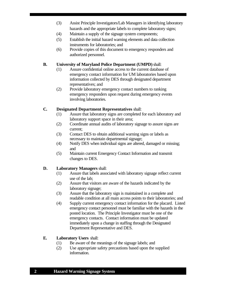- (3) Assist Principle Investigators/Lab Managers in identifying laboratory hazards and the appropriate labels to complete laboratory signs;
- (4) Maintain a supply of the signage system components;
- (5) Establish the initial hazard warning elements and data collection instruments for laboratories; and
- (6) Provide copies of this document to emergency responders and authorized personnel.

#### **B. University of Maryland Police Department (UMPD)** shall:

- (1) Assure confidential online access to the current database of emergency contact information for UM laboratories based upon information collected by DES through designated department representatives; and
- (2) Provide laboratory emergency contact numbers to ranking emergency responders upon request during emergency events involving laboratories.

#### **C. Designated Department Representatives** shall:

- (1) Assure that laboratory signs are completed for each laboratory and laboratory support space in their area;
- (2) Coordinate annual audits of laboratory signage to assure signs are current;
- (3) Contact DES to obtain additional warning signs or labels as necessary to maintain departmental signage;
- (4) Notify DES when individual signs are altered, damaged or missing; and
- (5) Maintain current Emergency Contact Information and transmit changes to DES.

#### **D. Laboratory Managers** shall:

- (1) Assure that labels associated with laboratory signage reflect current use of the lab;
- (2) Assure that visitors are aware of the hazards indicated by the laboratory signage;
- (3) Assure that the laboratory sign is maintained in a complete and readable condition at all main access points to their laboratories; and
- (4) Supply current emergency contact information for the placard. Listed emergency contact personnel must be familiar with the hazards in the posted location. The Principle Investigator must be one of the emergency contacts. Contact information must be updated immediately upon a change in staffing through the Designated Department Representative and DES.
- **E. Laboratory Users** shall:
	- (1) Be aware of the meanings of the signage labels; and
	- (2) Use appropriate safety precautions based upon the supplied information.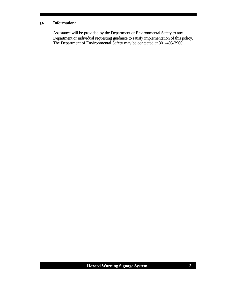#### **IV. Information:**

Assistance will be provided by the Department of Environmental Safety to any Department or individual requesting guidance to satisfy implementation of this policy. The Department of Environmental Safety may be contacted at 301-405-3960.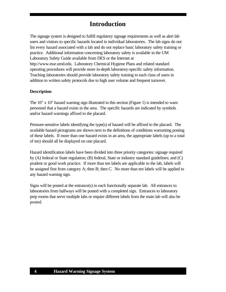## **Introduction**

The signage system is designed to fulfill regulatory signage requirements as well as alert lab users and visitors to specific hazards located in individual laboratories. The lab signs do not list every hazard associated with a lab and do not replace basic laboratory safety training or practice. Additional information concerning laboratory safety is available in the UM Laboratory Safety Guide available from DES or the Internet at http://www.essr.umd.edu. Laboratory Chemical Hygiene Plans and related standard operating procedures will provide more in-depth laboratory-specific safety information. Teaching laboratories should provide laboratory safety training to each class of users in addition to written safety protocols due to high user volume and frequent turnover.

#### **Description**

The 10" x 10" hazard warning sign illustrated in this section (Figure 1) is intended to warn personnel that a hazard exists in the area. The specific hazards are indicated by symbols and/or hazard warnings affixed to the placard.

Pressure-sensitive labels identifying the type(s) of hazard will be affixed to the placard. The available hazard pictograms are shown next to the definitions of conditions warranting posting of these labels. If more than one hazard exists in an area, the appropriate labels (up to a total of ten) should all be displayed on one placard.

Hazard identification labels have been divided into three priority categories: signage required by (A) federal or State regulation; (B) federal, State or industry standard guidelines; and (C) prudent or good work practice. If more than ten labels are applicable to the lab, labels will be assigned first from category A; then B; then C. No more than ten labels will be applied to any hazard warning sign.

Signs will be posted at the entrance(s) to each functionally separate lab. All entrances to laboratories from hallways will be posted with a completed sign. Entrances to laboratory prep rooms that serve multiple labs or require different labels from the main lab will also be posted.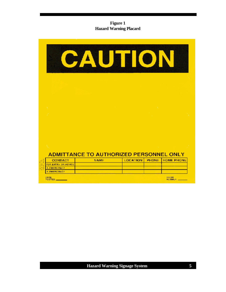### **Figure 1 Hazard Warning Placard**

|                                                                               | UI<br><b>XXX</b>                               |                 | ION          |                           |
|-------------------------------------------------------------------------------|------------------------------------------------|-----------------|--------------|---------------------------|
|                                                                               |                                                |                 |              |                           |
|                                                                               |                                                |                 |              |                           |
|                                                                               |                                                |                 |              |                           |
|                                                                               |                                                |                 |              |                           |
|                                                                               | <b>ADMITTANCE TO AUTHORIZED PERSONNEL ONLY</b> |                 |              |                           |
| <b>CONTACT</b><br>FOR ENTRY OR ADVICE<br><b>IN EMERGENICY</b><br>IN EMERGENCY | <b>NAME</b>                                    | <b>LOCATION</b> | <b>PHONE</b> | <b>HOME PHONE</b>         |
| DATE<br>POSTED.                                                               |                                                |                 |              | <b>REDDIM</b><br>NUMBER _ |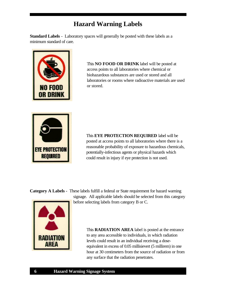## **Hazard Warning Labels**

**Standard Labels** - Laboratory spaces will generally be posted with these labels as a minimum standard of care.



This **NO FOOD OR DRINK** label will be posted at access points to all laboratories where chemical or biohazardous substances are used or stored and all laboratories or rooms where radioactive materials are used or stored.



This **EYE PROTECTION REQUIRED** label will be posted at access points to all laboratories where there is a reasonable probability of exposure to hazardous chemicals, potentially-infectious agents or physical hazards which could result in injury if eye protection is not used.

**Category A Labels -** These labels fulfill a federal or State requirement for hazard warning



signage. All applicable labels should be selected from this category before selecting labels from category B or C.

> This **RADIATION AREA** label is posted at the entrance to any area accessible to individuals, in which radiation levels could result in an individual receiving a doseequivalent in excess of 0.05 millisievert (5 millirem) in one hour at 30 centimeters from the source of radiation or from any surface that the radiation penetrates.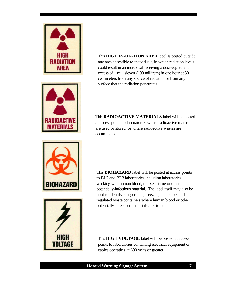



This **HIGH RADIATION AREA** label is posted outside any area accessible to individuals, in which radiation levels could result in an individual receiving a dose-equivalent in excess of 1 millisievert (100 millirem) in one hour at 30 centimeters from any source of radiation or from any surface that the radiation penetrates.

This **RADIOACTIVE MATERIALS** label will be posted at access points to laboratories where radioactive materials are used or stored, or where radioactive wastes are accumulated.





This **BIOHAZARD** label will be posted at access points to BL2 and BL3 laboratories including laboratories working with human blood, unfixed tissue or other potentially-infectious material. The label itself may also be used to identify refrigerators, freezers, incubators and regulated waste containers where human blood or other potentially-infectious materials are stored.

This **HIGH VOLTAGE** label will be posted at access points to laboratories containing electrical equipment or cables operating at 600 volts or greater.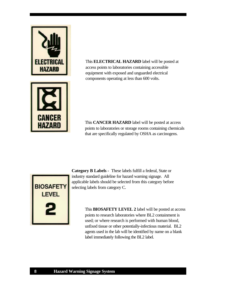

This **ELECTRICAL HAZARD** label will be posted at access points to laboratories containing accessible equipment with exposed and unguarded electrical components operating at less than 600 volts.





**Category B Labels -** These labels fulfill a federal, State or industry standard guideline for hazard warning signage. All applicable labels should be selected from this category before selecting labels from category C.

> This **BIOSAFETY LEVEL 2** label will be posted at access points to research laboratories where BL2 containment is used; or where research is performed with human blood, unfixed tissue or other potentially-infectious material. BL2 agents used in the lab will be identified by name on a blank label immediately following the BL2 label.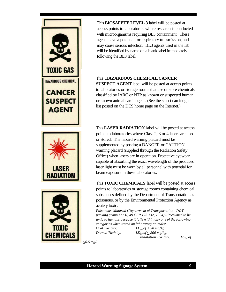

This **BIOSAFETY LEVEL 3** label will be posted at access points to laboratories where research is conducted with microorganisms requiring BL3 containment. These agents have a potential for respiratory transmission, and may cause serious infection. BL3 agents used in the lab will be identified by name on a blank label immediately following the BL3 label.

#### This **HAZARDOUS CHEMICAL/CANCER**

**SUSPECT AGENT** label will be posted at access points to laboratories or storage rooms that use or store chemicals classified by IARC or NTP as known or suspected human or known animal carcinogens. (See the select carcinogen list posted on the DES home page on the Internet.)

This **LASER RADIATION** label will be posted at access points to laboratories where Class 2, 3 or 4 lasers are used or stored. The hazard warning placard must be supplemented by posting a DANGER or CAUTION warning placard (supplied through the Radiation Safety Office) when lasers are in operation. Protective eyewear capable of absorbing the exact wavelength of the produced laser light must be worn by all personnel with potential for beam exposure in these laboratories.

This **TOXIC CHEMICALS** label will be posted at access points to laboratories or storage rooms containing chemical substances defined by the Department of Transportation as poisonous, or by the Environmental Protection Agency as acutely toxic.

*Poisonous Material (Department of Transportation - DOT, packing group I or II, 49 CFR 173.132, 1994) - Presumed to be toxic to humans because it falls within any one of the following categories when tested on laboratory animals:*

*Oral Toxicity:*  $LD_{50}$  of  $\leq 50$  mg/kg. *Dermal Toxicity:*  $LD_{50}$  of  $\leq$  200 mg/kg.  *Inhalation Toxicity: LC50 of*

*<0.5 mg/l*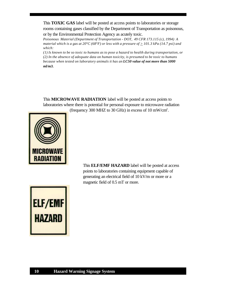This **TOXIC GAS** label will be posted at access points to laboratories or storage rooms containing gases classified by the Department of Transportation as poisonous, or by the Environmental Protection Agency as acutely toxic.

*Poisonous Material (Department of Transportation - DOT, 49 CFR 173.115 (c), 1994) A material which is a gas at 20°C (68°F) or less with a pressure of*  $\geq$  101.3 kPa (14.7 psi) and *which:*

*(1) Is known to be so toxic to humans as to pose a hazard to health during transportation, or (2) In the absence of adequate data on human toxicity, is presumed to be toxic to humans because when tested on laboratory animals it has an LC50 value of not more than 5000 ml/m3.* 

This **MICROWAVE RADIATION** label will be posted at access points to laboratories where there is potential for personal exposure to microwave radiation (frequency 300 MHZ to 30 GHz) in excess of 10 mW/cm<sup>2</sup> .



This **ELF/EMF HAZARD** label will be posted at access points to laboratories containing equipment capable of generating an electrical field of 10 kV/m or more or a magnetic field of 0.5 mT or more.

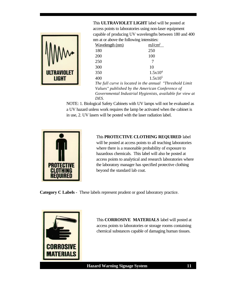

This **ULTRAVIOLET LIGHT** label will be posted at access points to laboratories using non-laser equipment capable of producing UV wavelengths between 180 and 400 nm at or above the following intensities:

| Wavelength (nm) | mJ/cm <sup>2</sup>                                     |
|-----------------|--------------------------------------------------------|
| 180             | 250                                                    |
| 200             | 100                                                    |
| 250             |                                                        |
| 300             | 10                                                     |
| 350             | $1.5x10^4$                                             |
| 400             | $1.5x10^5$                                             |
|                 | The full curve is located in the annual "Threshold Lim |
|                 |                                                        |

*The full curve is located in the annual "Threshold Limit Values" published by the American Conference of Governmental Industrial Hygienists, available for view at DES.*

NOTE: 1. Biological Safety Cabinets with UV lamps will not be evaluated as a UV hazard unless work requires the lamp be activated when the cabinet is in use, 2. UV lasers will be posted with the laser radiation label.



#### This **PROTECTIVE CLOTHING REQUIRED** label

will be posted at access points to all teaching laboratories where there is a reasonable probability of exposure to hazardous chemicals. This label will also be posted at access points to analytical and research laboratories where the laboratory manager has specified protective clothing beyond the standard lab coat.

**Category C Labels -** These labels represent prudent or good laboratory practice.



This **CORROSIVE MATERIALS** label will posted at access points to laboratories or storage rooms containing chemical substances capable of damaging human tissues.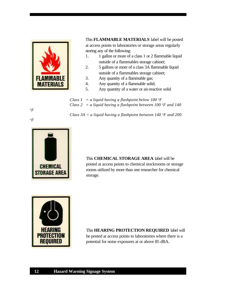

This **FLAMMABLE MATERIALS** label will be posted at access points to laboratories or storage areas regularly storing any of the following:

- 1. 1 gallon or more of a class 1 or 2 flammable liquid outside of a flammables storage cabinet;
- 2. 5 gallons or more of a class 3A flammable liquid outside of a flammables storage cabinet;
- 3. Any quantity of a flammable gas;
- 4. Any quantity of a flammable solid;
- 5. Any quantity of a water or air-reactive solid

*Class 1* = *a liquid having a flashpoint below 100*  $\degree$ *F Class 2 = a liquid having a flashpoint between 100*  $\degree$ *F and 140* 

*Class 3A = a liquid having a flashpoint between 140 <sup>o</sup>F and 200*

*<sup>o</sup>F* 

*<sup>o</sup>F* 



This **CHEMICAL STORAGE AREA** label will be posted at access points to chemical stockrooms or storage rooms utilized by more than one researcher for chemical storage.



This **HEARING PROTECTION REQUIRED** label will be posted at access points to laboratories where there is a potential for noise exposures at or above 85 dBA.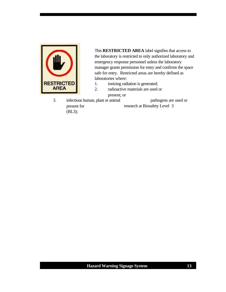

This **RESTRICTED AREA** label signifies that access to the laboratory is restricted to only authorized laboratory and emergency response personnel unless the laboratory manager grants permission for entry and confirms the space safe for entry. Restricted areas are hereby defined as laboratories where:

- 1. ionizing radiation is generated;
- 2. radioactive materials are used or present; or
- 3. infectious human, plant or animal pathogens are used or present for research at Biosafety Level 3 (BL3);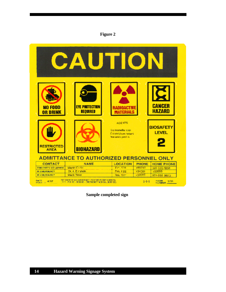#### **Figure 2**



 **Sample completed sign**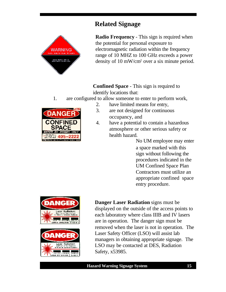# **Related Signage**



**DANGEI** 

CONFINEI

**Radio Frequency** - This sign is required when the potential for personal exposure to electromagnetic radiation within the frequency range of 10 MHZ to 100 GHz exceeds a power density of 10 mW/cm<sup>2</sup> over a six minute period.

**Confined Space** - This sign is required to identify locations that:

- 1. are configured to allow someone to enter to perform work,
	- 2. have limited means for entry,
	- 3. are not designed for continuous occupancy, and
	- 4. have a potential to contain a hazardous atmosphere or other serious safety or health hazard.

No UM employee may enter a space marked with this sign without following the procedures indicated in the UM Confined Space Plan Contractors must utilize an appropriate confined space entry procedure.





**Danger Laser Radiation** signs must be displayed on the outside of the access points to each laboratory where class IIIB and IV lasers are in operation. The danger sign must be removed when the laser is not in operation. The Laser Safety Officer (LSO) will assist lab managers in obtaining appropriate signage. The LSO may be contacted at DES, Radiation Safety, x53985.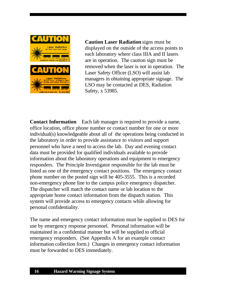

**Caution Laser Radiation** signs must be displayed on the outside of the access points to each laboratory where class IIIA and II lasers are in operation. The caution sign must be removed when the laser is not in operation. The Laser Safety Officer (LSO) will assist lab managers in obtaining appropriate signage. The LSO may be contacted at DES, Radiation Safety, x 53985.

**Contact Information** Each lab manager is required to provide a name, office location, office phone number or contact number for one or more individual(s) knowledgeable about all of the operations being conducted in the laboratory in order to provide assistance to visitors and support personnel who have a need to access the lab. Day and evening contact data must be provided for qualified individuals available to provide information about the laboratory operations and equipment to emergency responders. The Principle Investigator responsible for the lab must be listed as one of the emergency contact positions. The emergency contact phone number on the posted sign will be 405-3555. This is a recorded non-emergency phone line to the campus police emergency dispatcher. The dispatcher will match the contact name or lab location to the appropriate home contact information from the dispatch station. This system will provide access to emergency contacts while allowing for personal confidentiality.

The name and emergency contact information must be supplied to DES for use by emergency response personnel. Personal information will be maintained in a confidential manner but will be supplied to official emergency responders. (See Appendix A for an example contact information collection form.) Changes in emergency contact information must be forwarded to DES immediately.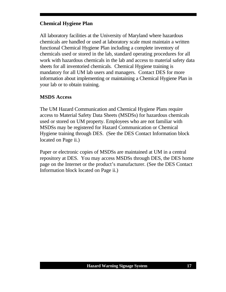## **Chemical Hygiene Plan**

All laboratory facilities at the University of Maryland where hazardous chemicals are handled or used at laboratory scale must maintain a written functional Chemical Hygiene Plan including a complete inventory of chemicals used or stored in the lab, standard operating procedures for all work with hazardous chemicals in the lab and access to material safety data sheets for all inventoried chemicals. Chemical Hygiene training is mandatory for all UM lab users and managers. Contact DES for more information about implementing or maintaining a Chemical Hygiene Plan in your lab or to obtain training.

## **MSDS Access**

The UM Hazard Communication and Chemical Hygiene Plans require access to Material Safety Data Sheets (MSDSs) for hazardous chemicals used or stored on UM property. Employees who are not familiar with MSDSs may be registered for Hazard Communication or Chemical Hygiene training through DES. (See the DES Contact Information block located on Page ii.)

Paper or electronic copies of MSDSs are maintained at UM in a central repository at DES. You may access MSDSs through DES, the DES home page on the Internet or the product's manufacturer. (See the DES Contact Information block located on Page ii.)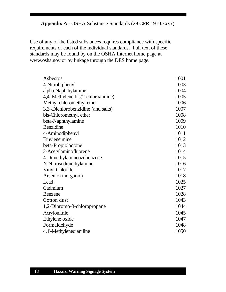## **Appendix A** - OSHA Substance Standards (29 CFR 1910.xxxx)

Use of any of the listed substances requires compliance with specific requirements of each of the individual standards. Full text of these standards may be found by on the OSHA Internet home page at www.osha.gov or by linkage through the DES home page.

| Asbestos                            | .1001 |
|-------------------------------------|-------|
| 4-Nitrobiphenyl                     | .1003 |
| alpha-Naphthylamine                 | .1004 |
| 4,4'-Methylene bis(2-chloroaniline) | .1005 |
| Methyl chloromethyl ether           | .1006 |
| 3,3'-Dichlorobenzidine (and salts)  | .1007 |
| bis-Chloromethyl ether              | .1008 |
| beta-Naphthylamine                  | .1009 |
| Benzidine                           | .1010 |
| 4-Aminodiphenyl                     | .1011 |
| Ethyleneimine                       | .1012 |
| beta-Propiolactone                  | .1013 |
| 2-Acetylaminofluorene               | .1014 |
| 4-Dimethylaminoazobenzene           | .1015 |
| N-Nitrosodimethylamine              | .1016 |
| Vinyl Chloride                      | .1017 |
| Arsenic (inorganic)                 | .1018 |
| Lead                                | .1025 |
| Cadmium                             | .1027 |
| Benzene                             | .1028 |
| Cotton dust                         | .1043 |
| 1,2-Dibromo-3-chloropropane         | .1044 |
| Acrylonitrile                       | .1045 |
| Ethylene oxide                      | .1047 |
| Formaldehyde                        | .1048 |
| 4,4'-Methylenedianiline             | .1050 |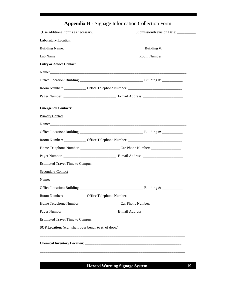# **Appendix B** - Signage Information Collection Form

| (Use additional forms as necessary)                                               | Submission/Revision Date: __________ |
|-----------------------------------------------------------------------------------|--------------------------------------|
| <b>Laboratory Location:</b>                                                       |                                      |
|                                                                                   |                                      |
|                                                                                   |                                      |
| <b>Entry or Advice Contact:</b>                                                   |                                      |
|                                                                                   |                                      |
|                                                                                   |                                      |
| Room Number: ________________ Office Telephone Number: __________________________ |                                      |
|                                                                                   |                                      |
| <b>Emergency Contacts:</b>                                                        |                                      |
| <b>Primary Contact</b>                                                            |                                      |
|                                                                                   |                                      |
|                                                                                   |                                      |
| Room Number: ______________ Office Telephone Number: ___________________________  |                                      |
|                                                                                   |                                      |
|                                                                                   |                                      |
|                                                                                   |                                      |
| <b>Secondary Contact</b>                                                          |                                      |
|                                                                                   |                                      |
|                                                                                   |                                      |
| Room Number: ______________ Office Telephone Number: ____________________________ |                                      |
|                                                                                   |                                      |
|                                                                                   |                                      |
|                                                                                   |                                      |
|                                                                                   |                                      |
|                                                                                   |                                      |